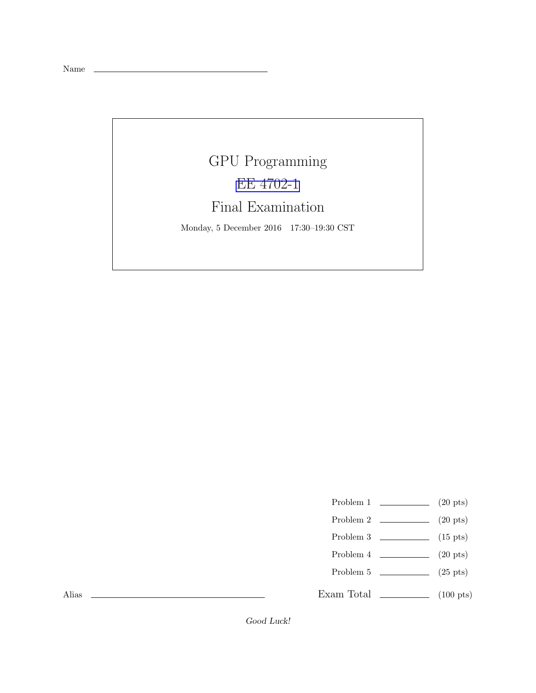Name

## GPU Programming [EE 4702-1](http://www.ece.lsu.edu/koppel/gpup/) Final Examination Monday, 5 December 2016 17:30–19:30 CST

- Problem 1  $\qquad \qquad (20 \text{ pts})$
- Problem 2  $\qquad \qquad$  (20 pts)
- Problem 3  $\qquad \qquad (15 \text{ pts})$
- Problem 4  $\qquad \qquad (20 \text{ pts})$
- Problem 5  $(25 \text{ pts})$
- Exam Total \_\_\_\_\_\_\_\_\_\_\_\_ (100 pts)

Alias

Good Luck!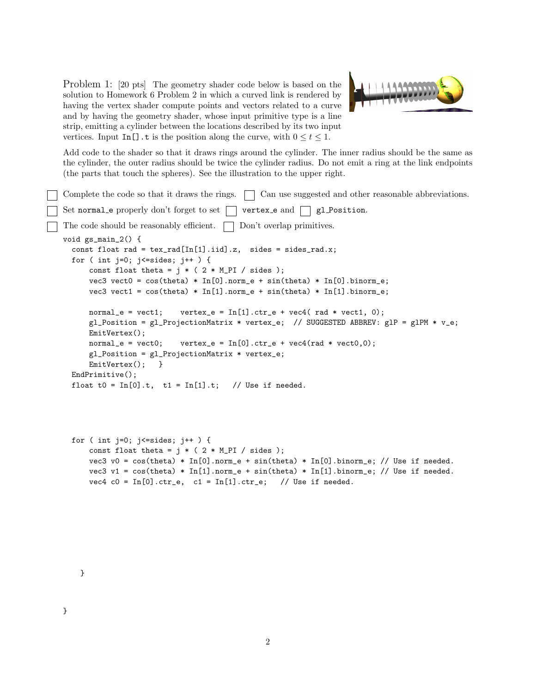Problem 1: [20 pts] The geometry shader code below is based on the solution to Homework 6 Problem 2 in which a curved link is rendered by having the vertex shader compute points and vectors related to a curve and by having the geometry shader, whose input primitive type is a line strip, emitting a cylinder between the locations described by its two input vertices. Input In[].t is the position along the curve, with  $0 \le t \le 1$ .



Add code to the shader so that it draws rings around the cylinder. The inner radius should be the same as the cylinder, the outer radius should be twice the cylinder radius. Do not emit a ring at the link endpoints (the parts that touch the spheres). See the illustration to the upper right.

```
Complete the code so that it draws the rings. \Box Can use suggested and other reasonable abbreviations.
Set normal e properly don't forget to set \Box vertex e and \Box gl Position.
The code should be reasonably efficient. \Box Don't overlap primitives.
void gs_main_2() {
  const float rad = text{tex}_{rad}[In[1].iid].z, sides = sides_rad.x;
  for ( int j=0; j<=sides; j++ ) {
       const float theta = j * ( 2 * M_P I / sides );
       vec3 vect0 = cos(theta) * In[0] . norm_e + sin(theta) * In[0] . binorm_e;vec3 vect1 = cos(theta) * In[1] .norm_e + sin(theta) * In[1] .binorm_e;normal_e = \text{vect1}; \quad \text{vertex}_e = \text{In[1]}.\text{ctr}_e + \text{vec4}(\text{rad} * \text{vect1}, 0);gl_Position = gl_ProjectionMatrix * vertex_e; // SUGGESTED ABBREV: glP = glPM * v_e;
      EmitVertex();
      normal_e = vector; vertex_e = In[0].ctr_e + vec4(rad * vect0,0);gl_Position = gl_ProjectionMatrix * vertex_e;
      EmitVertex(); }
  EndPrimitive();
  float t0 = In[0].t, t1 = In[1].t; // Use if needed.
```

```
for ( int j=0; j<=sides; j++ ) {
    const float theta = i * ( 2 * M_P I / sides );
    vec3 v0 = cos(theta) * In[0].norm_e + sin(theta) * In[0].binorm_e; // Use if needed.vec3 v1 = cos(theta) * In[1].norm_e + sin(theta) * In[1].binorm_e; // Use if needed.vec4 c0 = In[0].ctr_e, c1 = In[1].ctr_e; // Use if needed.
```
}

}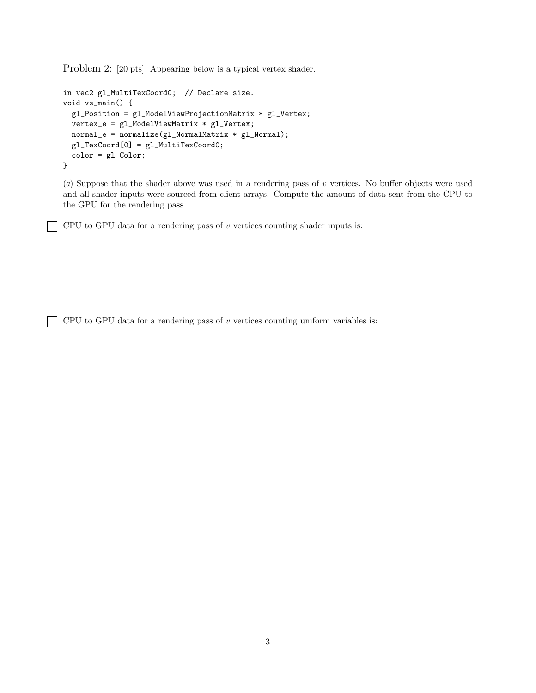Problem 2: [20 pts] Appearing below is a typical vertex shader.

```
in vec2 gl_MultiTexCoord0; // Declare size.
void vs_main() {
  gl_Position = gl_ModelViewProjectionMatrix * gl_Vertex;
  vertex_e = gl_ModelViewMatrix * gl_Vertex;
 normal_e = normalize(g1_NormalMatrix * g1_Normal);gl_TexCoord[0] = gl_MultiTexCoord0;
 color = gl_Color;
}
```
(a) Suppose that the shader above was used in a rendering pass of  $v$  vertices. No buffer objects were used and all shader inputs were sourced from client arrays. Compute the amount of data sent from the CPU to the GPU for the rendering pass.

CPU to GPU data for a rendering pass of  $v$  vertices counting shader inputs is:

CPU to GPU data for a rendering pass of  $v$  vertices counting uniform variables is: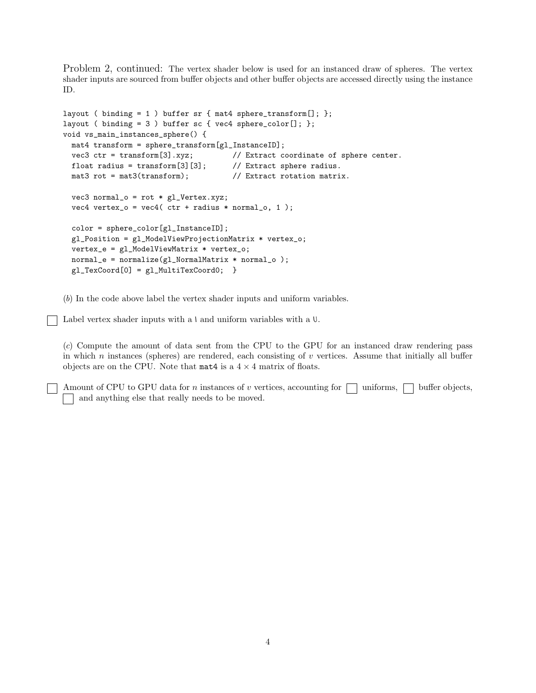Problem 2, continued: The vertex shader below is used for an instanced draw of spheres. The vertex shader inputs are sourced from buffer objects and other buffer objects are accessed directly using the instance ID.

```
layout ( binding = 1 ) buffer sr { mat4 sphere_transform[]; };
layout ( binding = 3 ) buffer sc { vec4 sphere_color[]; };
void vs_main_instances_sphere() {
 mat4 transform = sphere_transform[gl_InstanceID];
 vec3 ctr = transform[3].xyz; // Extract coordinate of sphere center.
 float radius = transform[3][3]; \qquad // Extract sphere radius.
 mat3 rot = mat3(transform); // Extract rotation matrix.
 vec3 normal_o = rot * gl_Vertex.xyz;
  vec4 vertex_o = vec4( ctr + radius * normal_o, 1);
  color = sphere_color[gl_InstanceID];
  gl_Position = gl_ModelViewProjectionMatrix * vertex_o;
  vertex_e = gl_ModelViewMatrix * vertex_o;
 normal_e = normalize(gl_NormalMatrix * normal_o );
 gl_TexCoord[0] = gl_MultiTexCoord0; }
```
(b) In the code above label the vertex shader inputs and uniform variables.

Label vertex shader inputs with a  $\iota$  and uniform variables with a  $\iota$ .

(c) Compute the amount of data sent from the CPU to the GPU for an instanced draw rendering pass in which n instances (spheres) are rendered, each consisting of  $v$  vertices. Assume that initially all buffer objects are on the CPU. Note that  $\text{mat4}$  is a  $4 \times 4$  matrix of floats.

Amount of CPU to GPU data for n instances of v vertices, accounting for  $\vert \cdot \vert$  uniforms,  $\vert \cdot \vert$  buffer objects, and anything else that really needs to be moved.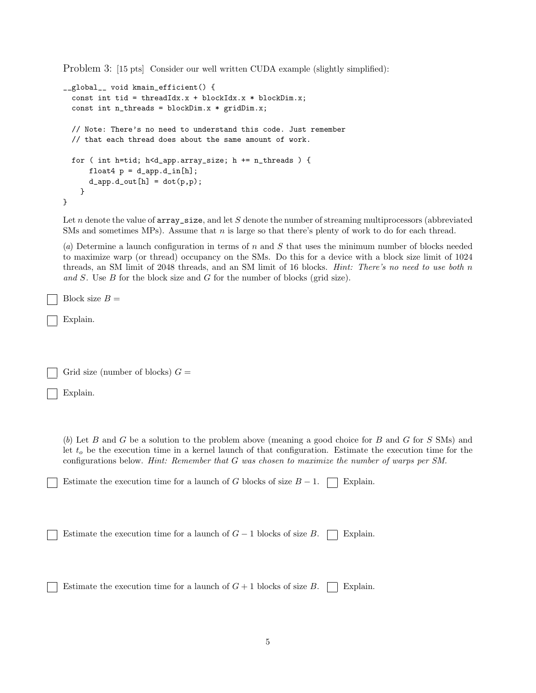Problem 3: [15 pts] Consider our well written CUDA example (slightly simplified):

```
__global__ void kmain_efficient() {
  const int tid = threadIdx.x + blockIdx.x * blockDim.x;
  const int n_threads = blockDim.x * gridDim.x;// Note: There's no need to understand this code. Just remember
  // that each thread does about the same amount of work.
  for ( int h=tid; h<d_app.array_size; h += n_threads ) {
      float4 p = d_{app}.d_{in}[h];d<sub>2</sub>app.d<sub>2</sub>out[h] = dot(p,p);
    }
}
```
Let n denote the value of  $array\_size$ , and let S denote the number of streaming multiprocessors (abbreviated SMs and sometimes MPs). Assume that  $n$  is large so that there's plenty of work to do for each thread.

(a) Determine a launch configuration in terms of n and S that uses the minimum number of blocks needed to maximize warp (or thread) occupancy on the SMs. Do this for a device with a block size limit of 1024 threads, an SM limit of 2048 threads, and an SM limit of 16 blocks. Hint: There's no need to use both n and S. Use B for the block size and G for the number of blocks (grid size).

Block size  $B =$ 

Explain.

Grid size (number of blocks)  $G =$ 

Explain.

(b) Let B and G be a solution to the problem above (meaning a good choice for B and G for S SMs) and let  $t<sub>o</sub>$  be the execution time in a kernel launch of that configuration. Estimate the execution time for the configurations below. Hint: Remember that G was chosen to maximize the number of warps per SM.

Estimate the execution time for a launch of G blocks of size  $B-1$ . Explain.

Estimate the execution time for a launch of  $G-1$  blocks of size B.  $\Box$  Explain.

Estimate the execution time for a launch of  $G + 1$  blocks of size  $B$ .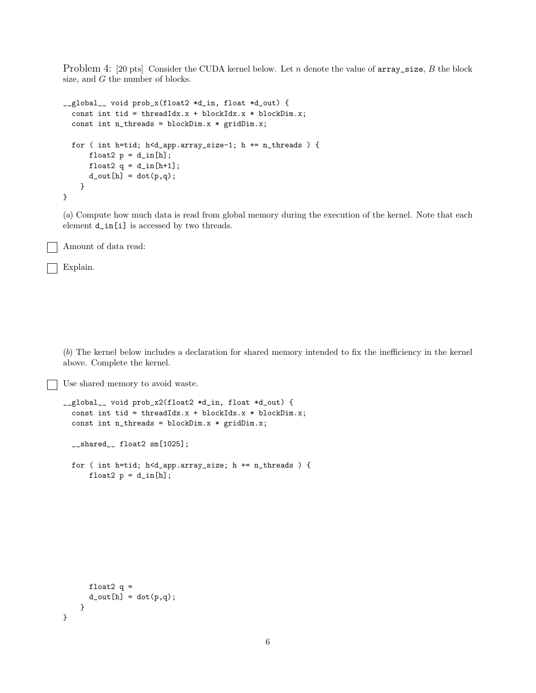Problem 4: [20 pts] Consider the CUDA kernel below. Let  $n$  denote the value of  $array\_size$ ,  $B$  the block size, and G the number of blocks.

```
__global__ void prob_x(float2 *d_in, float *d_out) {
  const int tid = threadIdx.x + blockIdx.x * blockDim.x;
  const int n_threads = blockDim.x * gridDim.x;
  for ( int h=tid; h<d_app.array_size-1; h += n_threads ) {
      float2 p = d_{in}[h];
      float2 q = d_{in}[h+1];
      d_out[h] = dot(p,q);}
}
```
(a) Compute how much data is read from global memory during the execution of the kernel. Note that each element d\_in[i] is accessed by two threads.

Amount of data read:

Explain.

(b) The kernel below includes a declaration for shared memory intended to fix the inefficiency in the kernel above. Complete the kernel.

Use shared memory to avoid waste.

```
__global__ void prob_x2(float2 *d_in, float *d_out) {
 const int tid = threadIdx.x + blockIdx.x * blockDim.x;
 const int n_threads = blockDim.x * gridDim.x;
```
\_\_shared\_\_ float2 sm[1025];

```
for ( int h=tid; h<d_app.array_size; h += n_threads ) {
    float2 p = d_{in}[h];
```

```
float2 q =d_out[h] = dot(p,q);}
```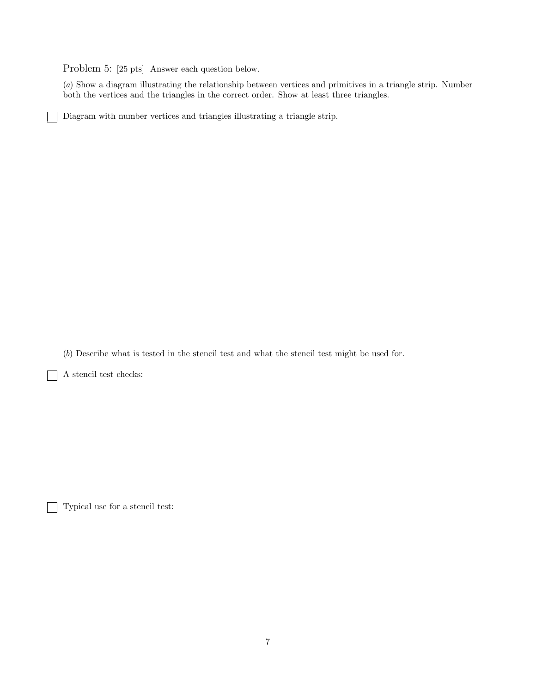Problem 5: [25 pts] Answer each question below.

(a) Show a diagram illustrating the relationship between vertices and primitives in a triangle strip. Number both the vertices and the triangles in the correct order. Show at least three triangles.

Diagram with number vertices and triangles illustrating a triangle strip.

(b) Describe what is tested in the stencil test and what the stencil test might be used for.

A stencil test checks:

ヿ

Typical use for a stencil test: